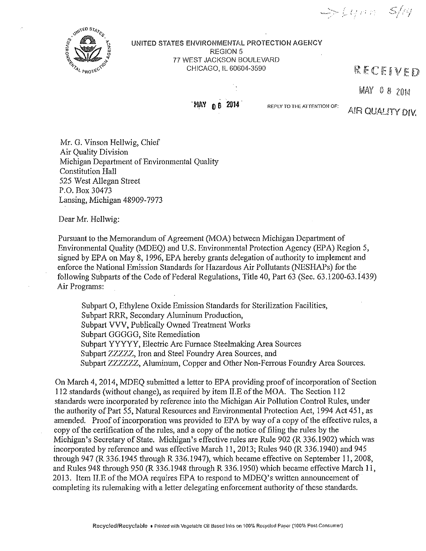$\Rightarrow$  64000  $\leq$ 14



## UNITED STATES ENVIRONMENTAL PROTECTION AGENCY REGION 5 77 WEST JACKSON BOULEVARD CHICAGO, IL 60604-3590

## RECEIVED



**WAY 0 6 2014. REPLY TO THE ATTENTION OF:** 

A!R QUALITY DIV.

 $MAN = 0 8 2014$ 

Mr. G, Vinson Hellwig, Chief Air Quality Division Michigan Department of Environmental Quality Constitution Hall 525 West Allegan Street P,O, Box 30473 Lansing, Michigan 48909-7973

Dear Mr, Hellwig:

Pursuant to the Memorandum of Agreement (MOA) between Michigan Department of Environmental Quality (MDEQ) and U.S, Enviromnental Protection Agency (EPA) Region 5, signed by EPA on May 8, 1996, EPA hereby grants delegation of authority to implement and enforce the National Emission Standards for Hazardous Air Pollutants (NESHAPs) for the following Subparts of the Code of Federal Regulations, Title 40, Part 63 (Sec. 63.1200-63.1439) Air Programs:

Subpart 0, Ethylene Oxide Emission Standards for Sterilization Facilities, Subpart RRR, Secondary Aluminum Production, Subpart VVV, Publically Owned Treatment Works Subpart GGGGG, Site Remediation Subpart YYYYY, Electric Arc Furnace Steelmaking Area Sources Subpart ZZZZZ, Iron and Steel Foundry Area Sources, and Subpart ZZZZZZ, Aluminum, Copper and Other Non-Ferrous Foundry Area Sources,

On March 4, 2014, MDEQ submitted a letter to EPA providing proof of incorporation of Section 112 standards (without change), as required by item II.E of the MOA. The Section 112 standards were incorporated by reference into the Michigan Air Pollution Control Rules, under the authority of Part 55, Natural Resources and Environmental Protection Act, 1994 Act 451, as amended. Proof of incorporation was provided to EPA by way of a copy of the effective rules, a copy of the certification of the rules, and a copy of the notice of filing the rules by the Michigan's Secretary of State, Michigan's effective rules are Rule 902 (R 336.1902) which was incorporated by reference and was effective March 11, 2013; Rules 940 (R 336.1940) and 945 through 947 (R 336.1945 through R 336.1947), which became effective on September 11, 2008, and Rules 948 through 950 (R 336.1948 through R 336.1950) which became effective March 11, 2013. Item ILE of the MOA requires EPA to respond to MDEQ's written announcement of completing its rulemaking with a letter delegating enforcement authority of these standards,